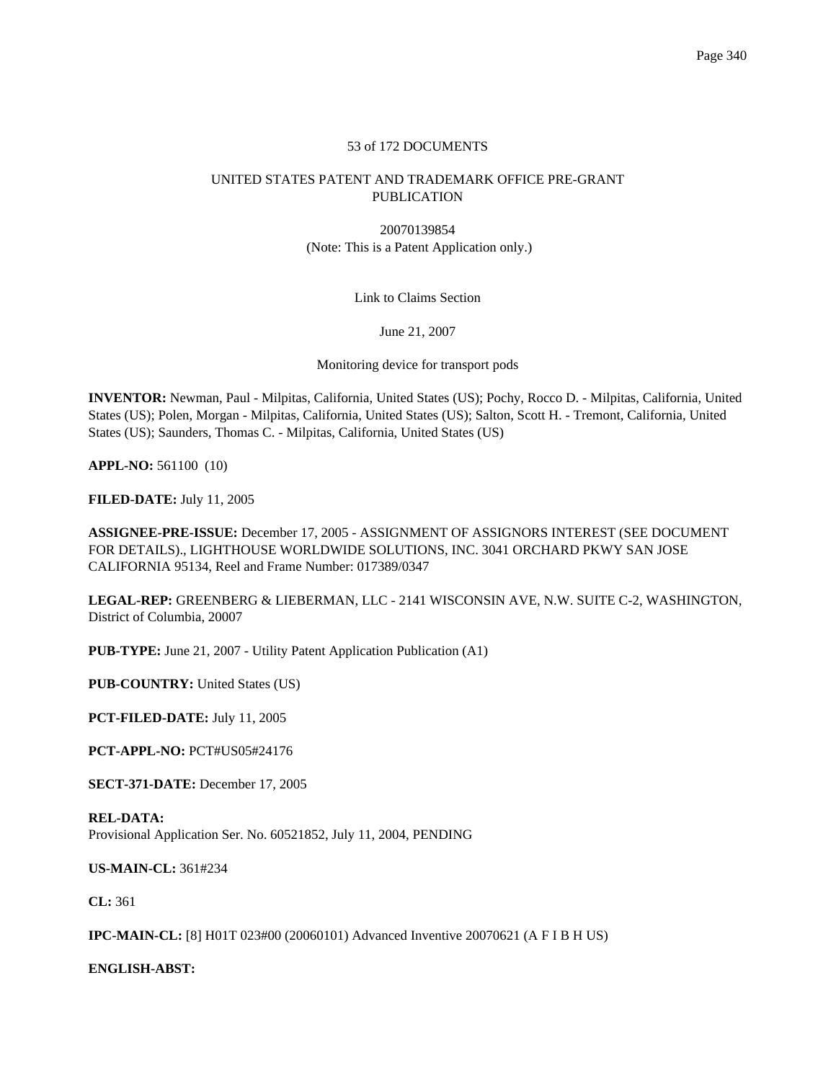# 53 of 172 DOCUMENTS

# UNITED STATES PATENT AND TRADEMARK OFFICE PRE-GRANT PUBLICATION

20070139854 (Note: This is a Patent Application only.)

# Link to Claims Section

### June 21, 2007

Monitoring device for transport pods

**INVENTOR:** Newman, Paul - Milpitas, California, United States (US); Pochy, Rocco D. - Milpitas, California, United States (US); Polen, Morgan - Milpitas, California, United States (US); Salton, Scott H. - Tremont, California, United States (US); Saunders, Thomas C. - Milpitas, California, United States (US)

**APPL-NO:** 561100 (10)

**FILED-DATE:** July 11, 2005

**ASSIGNEE-PRE-ISSUE:** December 17, 2005 - ASSIGNMENT OF ASSIGNORS INTEREST (SEE DOCUMENT FOR DETAILS)., LIGHTHOUSE WORLDWIDE SOLUTIONS, INC. 3041 ORCHARD PKWY SAN JOSE CALIFORNIA 95134, Reel and Frame Number: 017389/0347

**LEGAL-REP:** GREENBERG & LIEBERMAN, LLC - 2141 WISCONSIN AVE, N.W. SUITE C-2, WASHINGTON, District of Columbia, 20007

**PUB-TYPE:** June 21, 2007 - Utility Patent Application Publication (A1)

**PUB-COUNTRY:** United States (US)

**PCT-FILED-DATE:** July 11, 2005

**PCT-APPL-NO:** PCT#US05#24176

**SECT-371-DATE:** December 17, 2005

**REL-DATA:** Provisional Application Ser. No. 60521852, July 11, 2004, PENDING

**US-MAIN-CL:** 361#234

**CL:** 361

**IPC-MAIN-CL:** [8] H01T 023#00 (20060101) Advanced Inventive 20070621 (A F I B H US)

**ENGLISH-ABST:**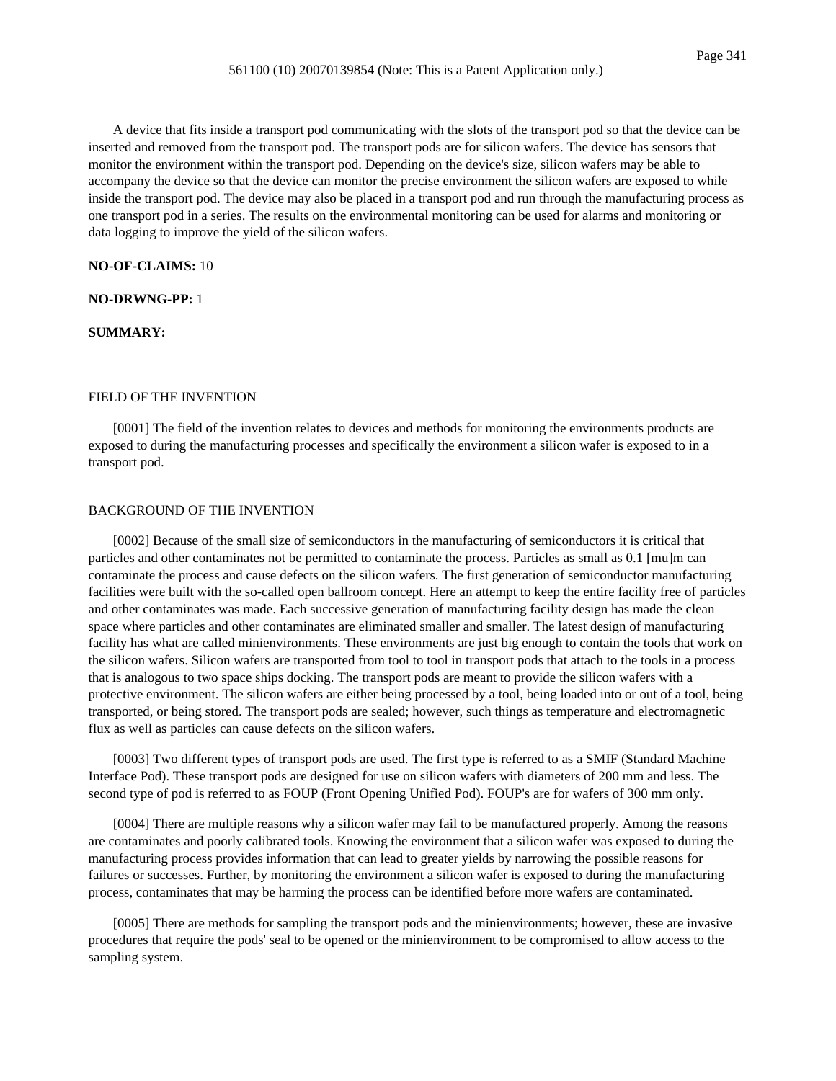A device that fits inside a transport pod communicating with the slots of the transport pod so that the device can be inserted and removed from the transport pod. The transport pods are for silicon wafers. The device has sensors that monitor the environment within the transport pod. Depending on the device's size, silicon wafers may be able to accompany the device so that the device can monitor the precise environment the silicon wafers are exposed to while inside the transport pod. The device may also be placed in a transport pod and run through the manufacturing process as one transport pod in a series. The results on the environmental monitoring can be used for alarms and monitoring or data logging to improve the yield of the silicon wafers.

### **NO-OF-CLAIMS:** 10

## **NO-DRWNG-PP:** 1

### **SUMMARY:**

### FIELD OF THE INVENTION

[0001] The field of the invention relates to devices and methods for monitoring the environments products are exposed to during the manufacturing processes and specifically the environment a silicon wafer is exposed to in a transport pod.

### BACKGROUND OF THE INVENTION

[0002] Because of the small size of semiconductors in the manufacturing of semiconductors it is critical that particles and other contaminates not be permitted to contaminate the process. Particles as small as 0.1 [mu]m can contaminate the process and cause defects on the silicon wafers. The first generation of semiconductor manufacturing facilities were built with the so-called open ballroom concept. Here an attempt to keep the entire facility free of particles and other contaminates was made. Each successive generation of manufacturing facility design has made the clean space where particles and other contaminates are eliminated smaller and smaller. The latest design of manufacturing facility has what are called minienvironments. These environments are just big enough to contain the tools that work on the silicon wafers. Silicon wafers are transported from tool to tool in transport pods that attach to the tools in a process that is analogous to two space ships docking. The transport pods are meant to provide the silicon wafers with a protective environment. The silicon wafers are either being processed by a tool, being loaded into or out of a tool, being transported, or being stored. The transport pods are sealed; however, such things as temperature and electromagnetic flux as well as particles can cause defects on the silicon wafers.

[0003] Two different types of transport pods are used. The first type is referred to as a SMIF (Standard Machine Interface Pod). These transport pods are designed for use on silicon wafers with diameters of 200 mm and less. The second type of pod is referred to as FOUP (Front Opening Unified Pod). FOUP's are for wafers of 300 mm only.

[0004] There are multiple reasons why a silicon wafer may fail to be manufactured properly. Among the reasons are contaminates and poorly calibrated tools. Knowing the environment that a silicon wafer was exposed to during the manufacturing process provides information that can lead to greater yields by narrowing the possible reasons for failures or successes. Further, by monitoring the environment a silicon wafer is exposed to during the manufacturing process, contaminates that may be harming the process can be identified before more wafers are contaminated.

[0005] There are methods for sampling the transport pods and the minienvironments; however, these are invasive procedures that require the pods' seal to be opened or the minienvironment to be compromised to allow access to the sampling system.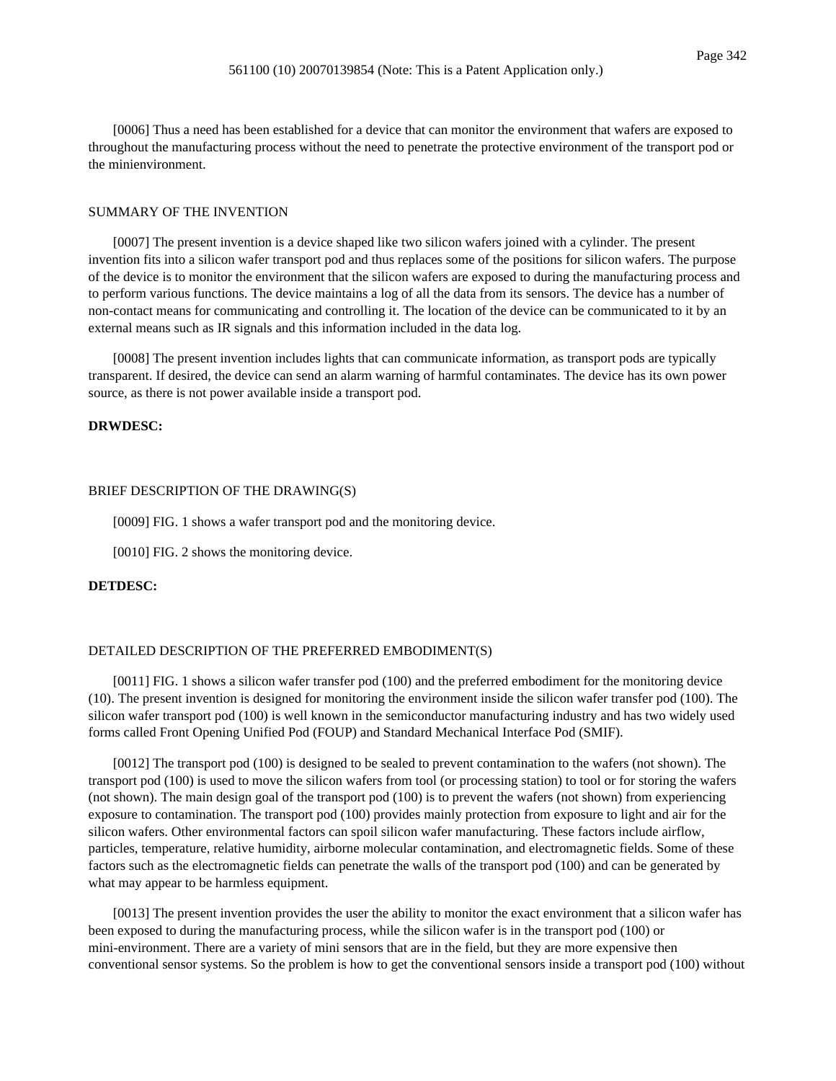[0006] Thus a need has been established for a device that can monitor the environment that wafers are exposed to throughout the manufacturing process without the need to penetrate the protective environment of the transport pod or the minienvironment.

### SUMMARY OF THE INVENTION

[0007] The present invention is a device shaped like two silicon wafers joined with a cylinder. The present invention fits into a silicon wafer transport pod and thus replaces some of the positions for silicon wafers. The purpose of the device is to monitor the environment that the silicon wafers are exposed to during the manufacturing process and to perform various functions. The device maintains a log of all the data from its sensors. The device has a number of non-contact means for communicating and controlling it. The location of the device can be communicated to it by an external means such as IR signals and this information included in the data log.

[0008] The present invention includes lights that can communicate information, as transport pods are typically transparent. If desired, the device can send an alarm warning of harmful contaminates. The device has its own power source, as there is not power available inside a transport pod.

## **DRWDESC:**

#### BRIEF DESCRIPTION OF THE DRAWING(S)

[0009] FIG. 1 shows a wafer transport pod and the monitoring device.

[0010] FIG. 2 shows the monitoring device.

# **DETDESC:**

# DETAILED DESCRIPTION OF THE PREFERRED EMBODIMENT(S)

[0011] FIG. 1 shows a silicon wafer transfer pod (100) and the preferred embodiment for the monitoring device (10). The present invention is designed for monitoring the environment inside the silicon wafer transfer pod (100). The silicon wafer transport pod (100) is well known in the semiconductor manufacturing industry and has two widely used forms called Front Opening Unified Pod (FOUP) and Standard Mechanical Interface Pod (SMIF).

[0012] The transport pod (100) is designed to be sealed to prevent contamination to the wafers (not shown). The transport pod (100) is used to move the silicon wafers from tool (or processing station) to tool or for storing the wafers (not shown). The main design goal of the transport pod (100) is to prevent the wafers (not shown) from experiencing exposure to contamination. The transport pod (100) provides mainly protection from exposure to light and air for the silicon wafers. Other environmental factors can spoil silicon wafer manufacturing. These factors include airflow, particles, temperature, relative humidity, airborne molecular contamination, and electromagnetic fields. Some of these factors such as the electromagnetic fields can penetrate the walls of the transport pod (100) and can be generated by what may appear to be harmless equipment.

[0013] The present invention provides the user the ability to monitor the exact environment that a silicon wafer has been exposed to during the manufacturing process, while the silicon wafer is in the transport pod (100) or mini-environment. There are a variety of mini sensors that are in the field, but they are more expensive then conventional sensor systems. So the problem is how to get the conventional sensors inside a transport pod (100) without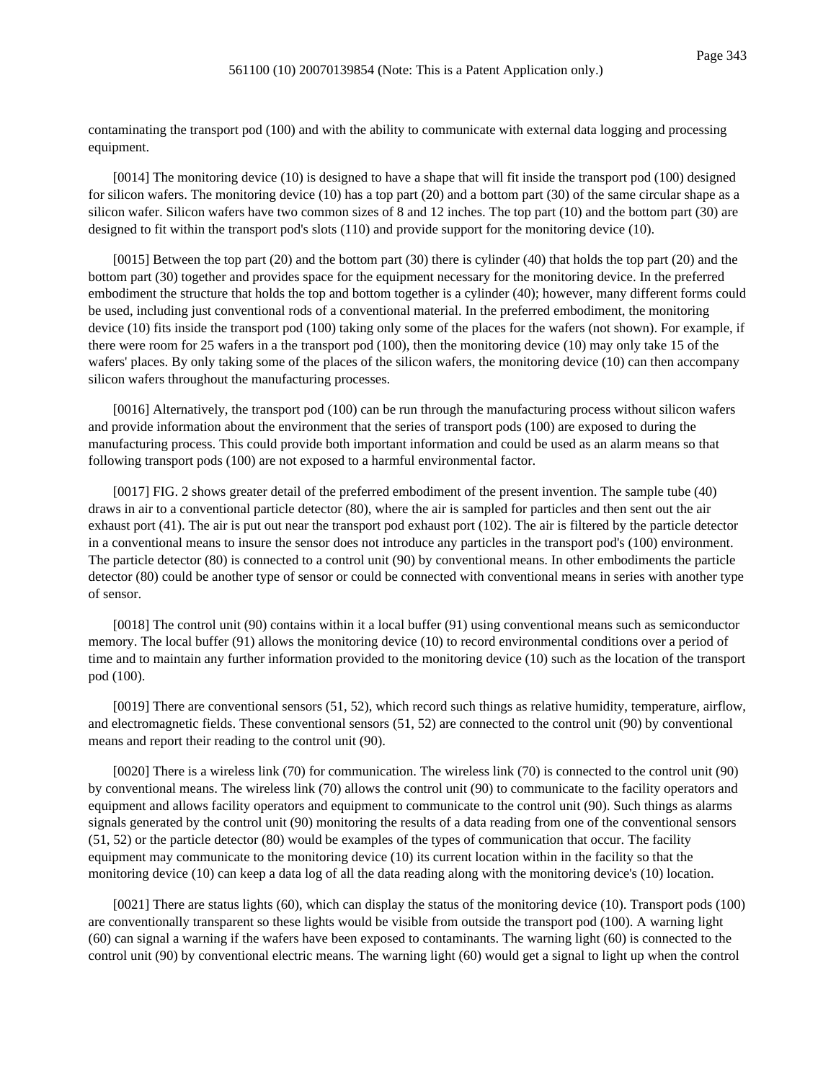contaminating the transport pod (100) and with the ability to communicate with external data logging and processing equipment.

[0014] The monitoring device (10) is designed to have a shape that will fit inside the transport pod (100) designed for silicon wafers. The monitoring device (10) has a top part (20) and a bottom part (30) of the same circular shape as a silicon wafer. Silicon wafers have two common sizes of 8 and 12 inches. The top part (10) and the bottom part (30) are designed to fit within the transport pod's slots (110) and provide support for the monitoring device (10).

[0015] Between the top part (20) and the bottom part (30) there is cylinder (40) that holds the top part (20) and the bottom part (30) together and provides space for the equipment necessary for the monitoring device. In the preferred embodiment the structure that holds the top and bottom together is a cylinder (40); however, many different forms could be used, including just conventional rods of a conventional material. In the preferred embodiment, the monitoring device (10) fits inside the transport pod (100) taking only some of the places for the wafers (not shown). For example, if there were room for 25 wafers in a the transport pod (100), then the monitoring device (10) may only take 15 of the wafers' places. By only taking some of the places of the silicon wafers, the monitoring device (10) can then accompany silicon wafers throughout the manufacturing processes.

[0016] Alternatively, the transport pod (100) can be run through the manufacturing process without silicon wafers and provide information about the environment that the series of transport pods (100) are exposed to during the manufacturing process. This could provide both important information and could be used as an alarm means so that following transport pods (100) are not exposed to a harmful environmental factor.

[0017] FIG. 2 shows greater detail of the preferred embodiment of the present invention. The sample tube (40) draws in air to a conventional particle detector (80), where the air is sampled for particles and then sent out the air exhaust port (41). The air is put out near the transport pod exhaust port (102). The air is filtered by the particle detector in a conventional means to insure the sensor does not introduce any particles in the transport pod's (100) environment. The particle detector (80) is connected to a control unit (90) by conventional means. In other embodiments the particle detector (80) could be another type of sensor or could be connected with conventional means in series with another type of sensor.

[0018] The control unit (90) contains within it a local buffer (91) using conventional means such as semiconductor memory. The local buffer (91) allows the monitoring device (10) to record environmental conditions over a period of time and to maintain any further information provided to the monitoring device (10) such as the location of the transport pod (100).

[0019] There are conventional sensors (51, 52), which record such things as relative humidity, temperature, airflow, and electromagnetic fields. These conventional sensors (51, 52) are connected to the control unit (90) by conventional means and report their reading to the control unit (90).

[0020] There is a wireless link (70) for communication. The wireless link (70) is connected to the control unit (90) by conventional means. The wireless link (70) allows the control unit (90) to communicate to the facility operators and equipment and allows facility operators and equipment to communicate to the control unit (90). Such things as alarms signals generated by the control unit (90) monitoring the results of a data reading from one of the conventional sensors (51, 52) or the particle detector (80) would be examples of the types of communication that occur. The facility equipment may communicate to the monitoring device (10) its current location within in the facility so that the monitoring device (10) can keep a data log of all the data reading along with the monitoring device's (10) location.

[0021] There are status lights (60), which can display the status of the monitoring device (10). Transport pods (100) are conventionally transparent so these lights would be visible from outside the transport pod (100). A warning light (60) can signal a warning if the wafers have been exposed to contaminants. The warning light (60) is connected to the control unit (90) by conventional electric means. The warning light (60) would get a signal to light up when the control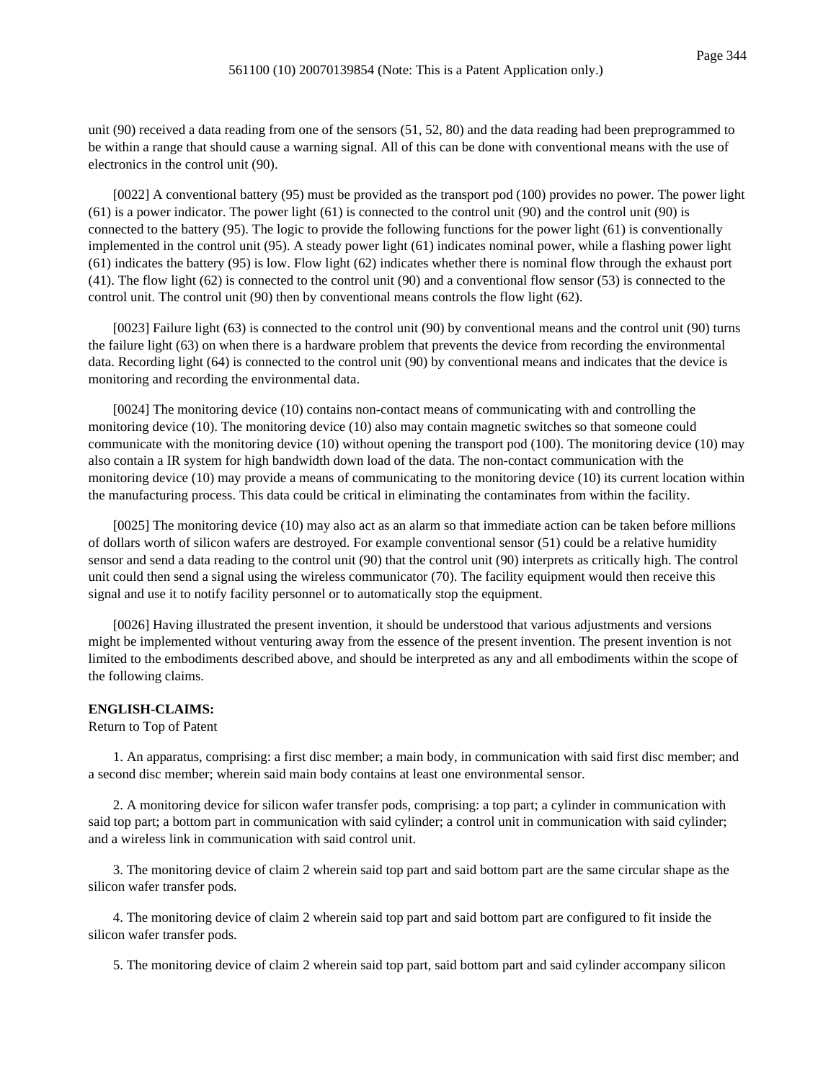unit (90) received a data reading from one of the sensors (51, 52, 80) and the data reading had been preprogrammed to be within a range that should cause a warning signal. All of this can be done with conventional means with the use of electronics in the control unit (90).

[0022] A conventional battery (95) must be provided as the transport pod (100) provides no power. The power light (61) is a power indicator. The power light (61) is connected to the control unit (90) and the control unit (90) is connected to the battery (95). The logic to provide the following functions for the power light (61) is conventionally implemented in the control unit (95). A steady power light (61) indicates nominal power, while a flashing power light (61) indicates the battery (95) is low. Flow light (62) indicates whether there is nominal flow through the exhaust port (41). The flow light (62) is connected to the control unit (90) and a conventional flow sensor (53) is connected to the control unit. The control unit (90) then by conventional means controls the flow light (62).

[0023] Failure light (63) is connected to the control unit (90) by conventional means and the control unit (90) turns the failure light (63) on when there is a hardware problem that prevents the device from recording the environmental data. Recording light (64) is connected to the control unit (90) by conventional means and indicates that the device is monitoring and recording the environmental data.

[0024] The monitoring device (10) contains non-contact means of communicating with and controlling the monitoring device (10). The monitoring device (10) also may contain magnetic switches so that someone could communicate with the monitoring device (10) without opening the transport pod (100). The monitoring device (10) may also contain a IR system for high bandwidth down load of the data. The non-contact communication with the monitoring device (10) may provide a means of communicating to the monitoring device (10) its current location within the manufacturing process. This data could be critical in eliminating the contaminates from within the facility.

[0025] The monitoring device (10) may also act as an alarm so that immediate action can be taken before millions of dollars worth of silicon wafers are destroyed. For example conventional sensor (51) could be a relative humidity sensor and send a data reading to the control unit (90) that the control unit (90) interprets as critically high. The control unit could then send a signal using the wireless communicator (70). The facility equipment would then receive this signal and use it to notify facility personnel or to automatically stop the equipment.

[0026] Having illustrated the present invention, it should be understood that various adjustments and versions might be implemented without venturing away from the essence of the present invention. The present invention is not limited to the embodiments described above, and should be interpreted as any and all embodiments within the scope of the following claims.

### **ENGLISH-CLAIMS:**

#### Return to Top of Patent

1. An apparatus, comprising: a first disc member; a main body, in communication with said first disc member; and a second disc member; wherein said main body contains at least one environmental sensor.

2. A monitoring device for silicon wafer transfer pods, comprising: a top part; a cylinder in communication with said top part; a bottom part in communication with said cylinder; a control unit in communication with said cylinder; and a wireless link in communication with said control unit.

3. The monitoring device of claim 2 wherein said top part and said bottom part are the same circular shape as the silicon wafer transfer pods.

4. The monitoring device of claim 2 wherein said top part and said bottom part are configured to fit inside the silicon wafer transfer pods.

5. The monitoring device of claim 2 wherein said top part, said bottom part and said cylinder accompany silicon